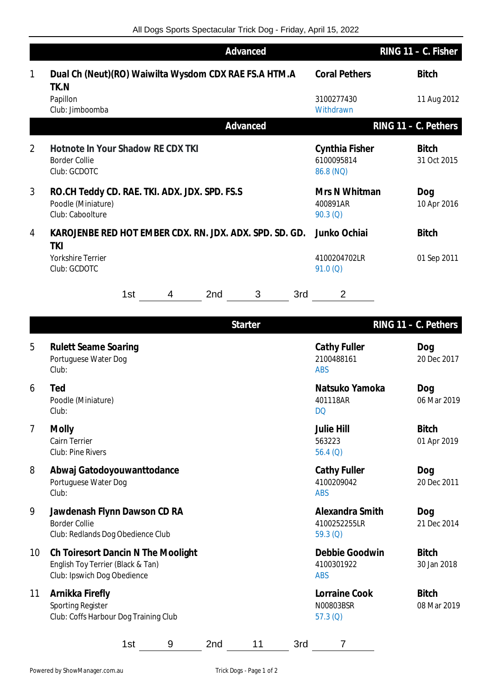|   |                                                                                         | Advanced |              |     | RING 11 - C. Fisher     |                                           |                         |                             |                         |
|---|-----------------------------------------------------------------------------------------|----------|--------------|-----|-------------------------|-------------------------------------------|-------------------------|-----------------------------|-------------------------|
| 1 | Dual Ch (Neut)(RO) Waiwilta Wysdom CDX RAE FS.A HTM.A<br>TK.N                           |          |              |     |                         |                                           | <b>Coral Pethers</b>    |                             | <b>Bitch</b>            |
|   | Papillon<br>Club: Jimboomba                                                             |          |              |     |                         |                                           | 3100277430<br>Withdrawn |                             | 11 Aug 2012             |
|   |                                                                                         |          |              |     | Advanced                |                                           |                         |                             | RING $11 - C$ . Pethers |
| 2 | Hotnote In Your Shadow RE CDX TKI<br><b>Border Collie</b><br>Club: GCDOTC               |          |              |     |                         | Cynthia Fisher<br>6100095814<br>86.8 (NQ) |                         | <b>Bitch</b><br>31 Oct 2015 |                         |
| 3 | RO.CH Teddy CD. RAE. TKI. ADX. JDX. SPD. FS.S<br>Poodle (Miniature)<br>Club: Caboolture |          |              |     |                         | Mrs N Whitman<br>400891AR<br>90.3(Q)      |                         | Dog<br>10 Apr 2016          |                         |
| 4 | KAROJENBE RED HOT EMBER CDX. RN. JDX. ADX. SPD. SD. GD.<br>TKI                          |          | Junko Ochiai |     | <b>Bitch</b>            |                                           |                         |                             |                         |
|   | <b>Yorkshire Terrier</b><br>Club: GCDOTC                                                |          |              |     | 4100204702LR<br>91.0(Q) |                                           | 01 Sep 2011             |                             |                         |
|   |                                                                                         | 1st      | 4            | 2nd | 3                       | 3rd                                       | $\overline{2}$          |                             |                         |
|   | <b>Starter</b>                                                                          |          |              |     |                         |                                           | RING $11 - C$ . Pethers |                             |                         |

| 5               | <b>Rulett Seame Soaring</b><br>Portuguese Water Dog<br>Club:                                           |     |   |                 |    |     | Cathy Fuller<br>2100488161<br><b>ABS</b>   | Dog<br>20 Dec 2017          |
|-----------------|--------------------------------------------------------------------------------------------------------|-----|---|-----------------|----|-----|--------------------------------------------|-----------------------------|
| 6               | Ted<br>Poodle (Miniature)<br>Club:                                                                     |     |   |                 |    |     | Natsuko Yamoka<br>401118AR<br><b>DQ</b>    | Dog<br>06 Mar 2019          |
| 7               | Molly<br>Cairn Terrier<br>Club: Pine Rivers                                                            |     |   |                 |    |     | <b>Julie Hill</b><br>563223<br>56.4 $(Q)$  | <b>Bitch</b><br>01 Apr 2019 |
| 8               | Abwaj Gatodoyouwanttodance<br>Portuguese Water Dog<br>Club:                                            |     |   |                 |    |     | Cathy Fuller<br>4100209042<br><b>ABS</b>   | Dog<br>20 Dec 2011          |
| 9               | Jawdenash Flynn Dawson CD RA<br><b>Border Collie</b><br>Club: Redlands Dog Obedience Club              |     |   |                 |    |     | Alexandra Smith<br>4100252255LR<br>59.3(Q) | Dog<br>21 Dec 2014          |
| 10 <sup>°</sup> | Ch Toiresort Dancin N The Moolight<br>English Toy Terrier (Black & Tan)<br>Club: Ipswich Dog Obedience |     |   |                 |    |     | Debbie Goodwin<br>4100301922<br><b>ABS</b> | <b>Bitch</b><br>30 Jan 2018 |
| 11              | Arnikka Firefly<br>Sporting Register<br>Club: Coffs Harbour Dog Training Club                          |     |   |                 |    |     | Lorraine Cook<br>N00803BSR<br>57.3(Q)      | <b>Bitch</b><br>08 Mar 2019 |
|                 |                                                                                                        | 1st | 9 | 2 <sub>nd</sub> | 11 | 3rd | 7                                          |                             |